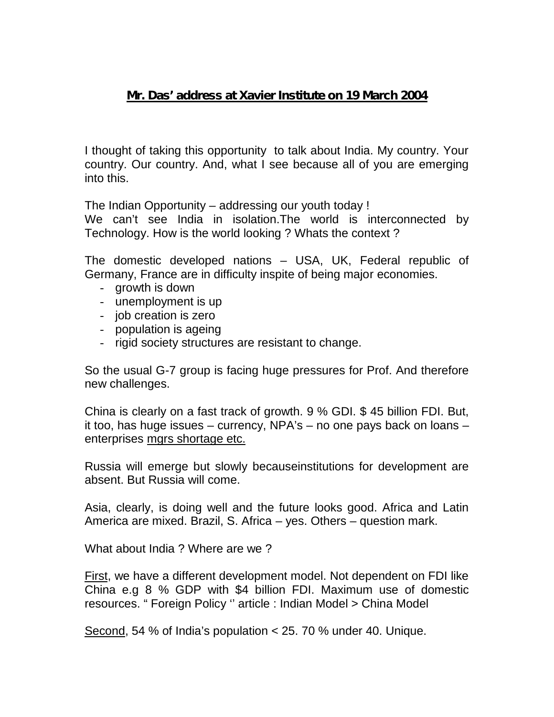## **Mr. Das' address at Xavier Institute on 19 March 2004**

I thought of taking this opportunity to talk about India. My country. Your country. Our country. And, what I see because all of you are emerging into this.

The Indian Opportunity – addressing our youth today !

We can't see India in isolation. The world is interconnected by Technology. How is the world looking ? Whats the context ?

The domestic developed nations – USA, UK, Federal republic of Germany, France are in difficulty inspite of being major economies.

- growth is down
- unemployment is up
- job creation is zero
- population is ageing
- rigid society structures are resistant to change.

So the usual G-7 group is facing huge pressures for Prof. And therefore new challenges.

China is clearly on a fast track of growth. 9 % GDI. \$ 45 billion FDI. But, it too, has huge issues – currency, NPA's – no one pays back on loans – enterprises mgrs shortage etc.

Russia will emerge but slowly becauseinstitutions for development are absent. But Russia will come.

Asia, clearly, is doing well and the future looks good. Africa and Latin America are mixed. Brazil, S. Africa – yes. Others – question mark.

What about India ? Where are we ?

First, we have a different development model. Not dependent on FDI like China e.g 8 % GDP with \$4 billion FDI. Maximum use of domestic resources. " Foreign Policy '' article : Indian Model > China Model

Second, 54 % of India's population < 25. 70 % under 40. Unique.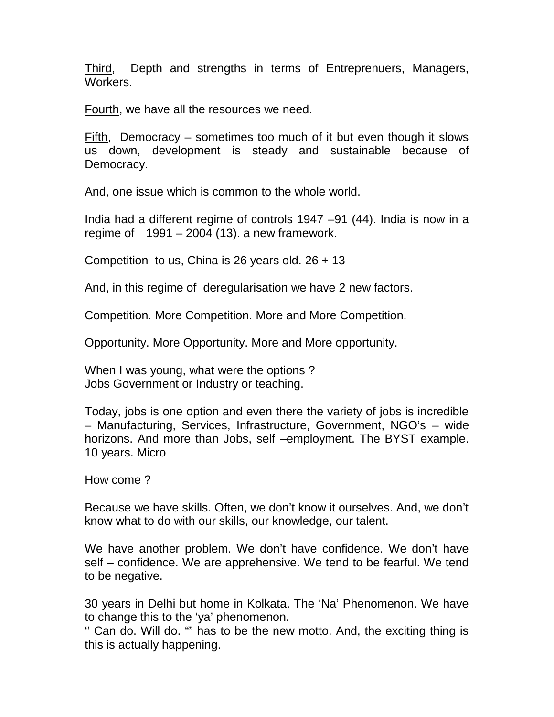Third, Depth and strengths in terms of Entreprenuers, Managers, Workers.

Fourth, we have all the resources we need.

Fifth, Democracy – sometimes too much of it but even though it slows us down, development is steady and sustainable because of Democracy.

And, one issue which is common to the whole world.

India had a different regime of controls 1947 –91 (44). India is now in a regime of  $1991 - 2004$  (13). a new framework.

Competition to us, China is 26 years old. 26 + 13

And, in this regime of deregularisation we have 2 new factors.

Competition. More Competition. More and More Competition.

Opportunity. More Opportunity. More and More opportunity.

When I was young, what were the options ? Jobs Government or Industry or teaching.

Today, jobs is one option and even there the variety of jobs is incredible – Manufacturing, Services, Infrastructure, Government, NGO's – wide horizons. And more than Jobs, self –employment. The BYST example. 10 years. Micro

How come ?

Because we have skills. Often, we don't know it ourselves. And, we don't know what to do with our skills, our knowledge, our talent.

We have another problem. We don't have confidence. We don't have self – confidence. We are apprehensive. We tend to be fearful. We tend to be negative.

30 years in Delhi but home in Kolkata. The 'Na' Phenomenon. We have to change this to the 'ya' phenomenon.

'' Can do. Will do. "" has to be the new motto. And, the exciting thing is this is actually happening.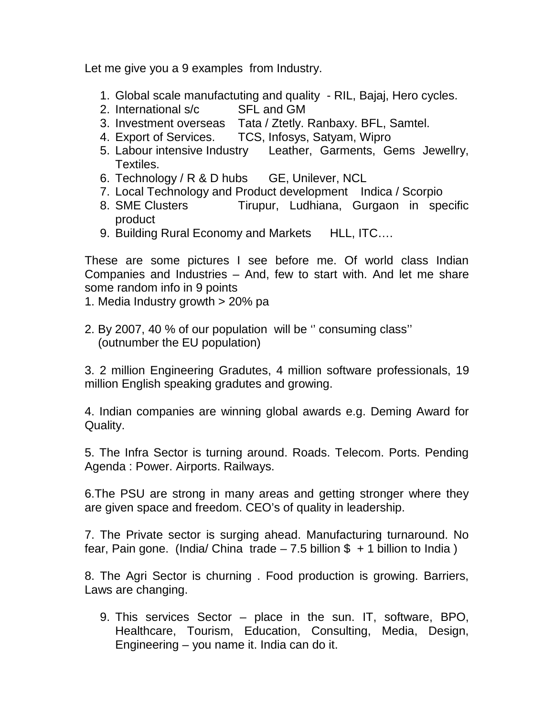Let me give you a 9 examples from Industry.

- 1. Global scale manufactuting and quality RIL, Bajaj, Hero cycles.
- 2. International s/c SFL and GM
- 3. Investment overseas Tata / Ztetly. Ranbaxy. BFL, Samtel.
- 4. Export of Services. TCS, Infosys, Satyam, Wipro
- 5. Labour intensive Industry Leather, Garments, Gems Jewellry, Textiles.
- 6. Technology / R & D hubs GE, Unilever, NCL
- 7. Local Technology and Product development Indica / Scorpio
- 8. SME Clusters Tirupur, Ludhiana, Gurgaon in specific product
- 9. Building Rural Economy and Markets HLL, ITC....

These are some pictures I see before me. Of world class Indian Companies and Industries – And, few to start with. And let me share some random info in 9 points

- 1. Media Industry growth > 20% pa
- 2. By 2007, 40 % of our population will be '' consuming class'' (outnumber the EU population)

3. 2 million Engineering Gradutes, 4 million software professionals, 19 million English speaking gradutes and growing.

4. Indian companies are winning global awards e.g. Deming Award for Quality.

5. The Infra Sector is turning around. Roads. Telecom. Ports. Pending Agenda : Power. Airports. Railways.

6.The PSU are strong in many areas and getting stronger where they are given space and freedom. CEO's of quality in leadership.

7. The Private sector is surging ahead. Manufacturing turnaround. No fear, Pain gone. (India/ China trade  $-7.5$  billion \$ + 1 billion to India)

8. The Agri Sector is churning . Food production is growing. Barriers, Laws are changing.

9. This services Sector – place in the sun. IT, software, BPO, Healthcare, Tourism, Education, Consulting, Media, Design, Engineering – you name it. India can do it.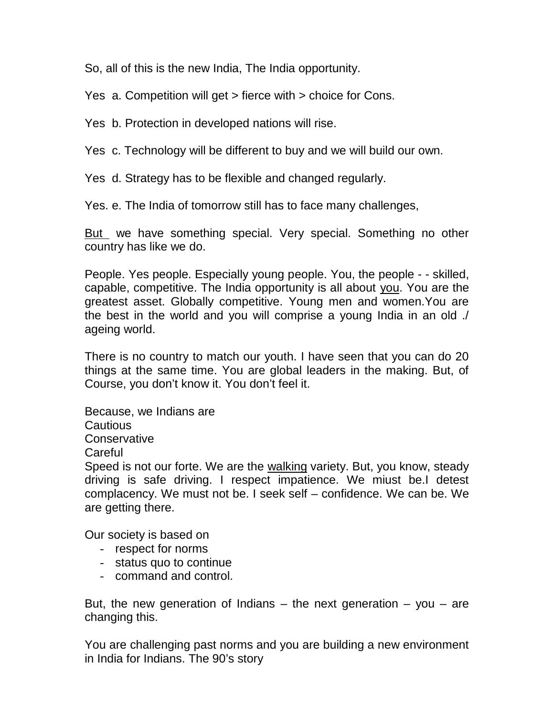So, all of this is the new India, The India opportunity.

Yes a. Competition will get > fierce with > choice for Cons.

Yes b. Protection in developed nations will rise.

Yes c. Technology will be different to buy and we will build our own.

Yes d. Strategy has to be flexible and changed regularly.

Yes. e. The India of tomorrow still has to face many challenges,

But we have something special. Very special. Something no other country has like we do.

People. Yes people. Especially young people. You, the people - - skilled, capable, competitive. The India opportunity is all about you. You are the greatest asset. Globally competitive. Young men and women.You are the best in the world and you will comprise a young India in an old ./ ageing world.

There is no country to match our youth. I have seen that you can do 20 things at the same time. You are global leaders in the making. But, of Course, you don't know it. You don't feel it.

Because, we Indians are Cautious **Conservative Careful** 

Speed is not our forte. We are the walking variety. But, you know, steady driving is safe driving. I respect impatience. We miust be.I detest complacency. We must not be. I seek self – confidence. We can be. We are getting there.

Our society is based on

- respect for norms
- status quo to continue
- command and control.

But, the new generation of Indians  $-$  the next generation  $-$  you  $-$  are changing this.

You are challenging past norms and you are building a new environment in India for Indians. The 90's story